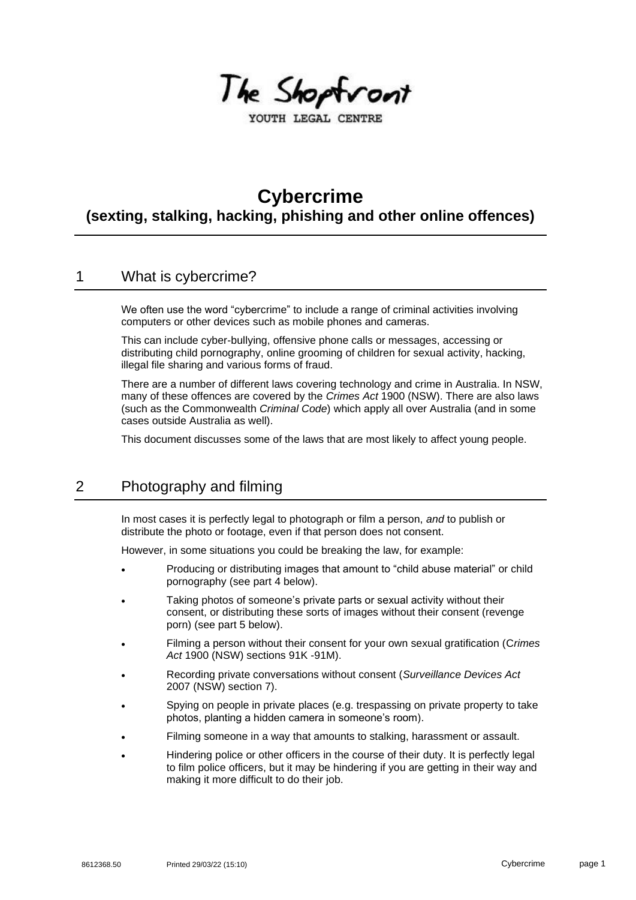

YOUTH LEGAL CENTRE

# **Cybercrime**

**(sexting, stalking, hacking, phishing and other online offences)**

### 1 What is cybercrime?

We often use the word "cybercrime" to include a range of criminal activities involving computers or other devices such as mobile phones and cameras.

This can include cyber-bullying, offensive phone calls or messages, accessing or distributing child pornography, online grooming of children for sexual activity, hacking, illegal file sharing and various forms of fraud.

There are a number of different laws covering technology and crime in Australia. In NSW, many of these offences are covered by the *Crimes Act* 1900 (NSW). There are also laws (such as the Commonwealth *Criminal Code*) which apply all over Australia (and in some cases outside Australia as well).

This document discusses some of the laws that are most likely to affect young people.

# 2 Photography and filming

In most cases it is perfectly legal to photograph or film a person, *and* to publish or distribute the photo or footage, even if that person does not consent.

However, in some situations you could be breaking the law, for example:

- Producing or distributing images that amount to "child abuse material" or child pornography (see part 4 below).
- Taking photos of someone's private parts or sexual activity without their consent, or distributing these sorts of images without their consent (revenge porn) (see part 5 below).
- Filming a person without their consent for your own sexual gratification (C*rimes Act* 1900 (NSW) sections 91K -91M).
- Recording private conversations without consent (*Surveillance Devices Act* 2007 (NSW) section 7).
- Spying on people in private places (e.g. trespassing on private property to take photos, planting a hidden camera in someone's room).
- Filming someone in a way that amounts to stalking, harassment or assault.
- Hindering police or other officers in the course of their duty. It is perfectly legal to film police officers, but it may be hindering if you are getting in their way and making it more difficult to do their job.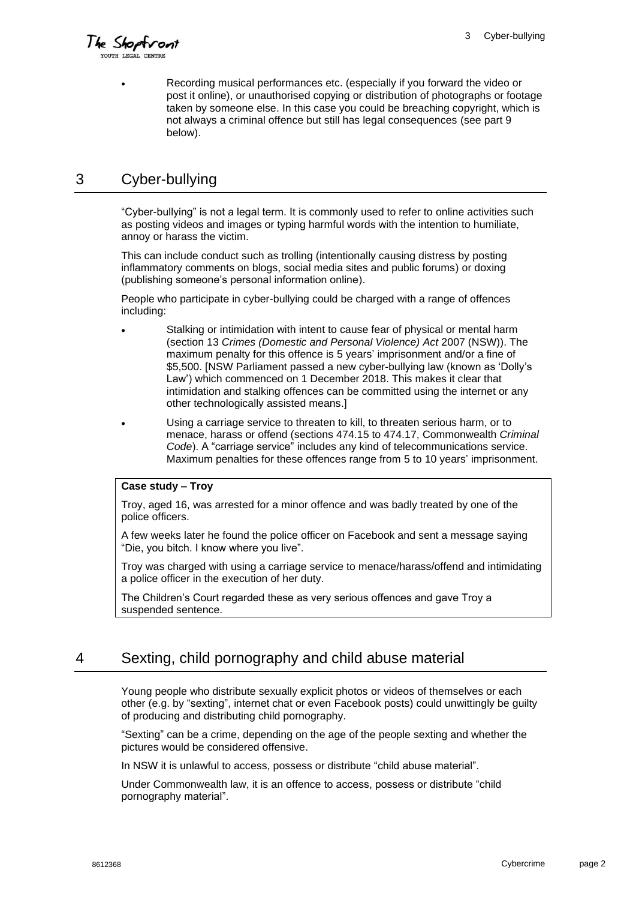The Shoptront

• Recording musical performances etc. (especially if you forward the video or post it online), or unauthorised copying or distribution of photographs or footage taken by someone else. In this case you could be breaching copyright, which is not always a criminal offence but still has legal consequences (see part 9 below).

### 3 Cyber-bullying

"Cyber-bullying" is not a legal term. It is commonly used to refer to online activities such as posting videos and images or typing harmful words with the intention to humiliate, annoy or harass the victim.

This can include conduct such as trolling (intentionally causing distress by posting inflammatory comments on blogs, social media sites and public forums) or doxing (publishing someone's personal information online).

People who participate in cyber-bullying could be charged with a range of offences including:

- Stalking or intimidation with intent to cause fear of physical or mental harm (section 13 *Crimes (Domestic and Personal Violence) Act* 2007 (NSW)). The maximum penalty for this offence is 5 years' imprisonment and/or a fine of \$5,500. [NSW Parliament passed a new cyber-bullying law (known as 'Dolly's Law') which commenced on 1 December 2018. This makes it clear that intimidation and stalking offences can be committed using the internet or any other technologically assisted means.]
- Using a carriage service to threaten to kill, to threaten serious harm, or to menace, harass or offend (sections 474.15 to 474.17, Commonwealth *Criminal Code*). A "carriage service" includes any kind of telecommunications service. Maximum penalties for these offences range from 5 to 10 years' imprisonment.

#### **Case study – Troy**

Troy, aged 16, was arrested for a minor offence and was badly treated by one of the police officers.

A few weeks later he found the police officer on Facebook and sent a message saying "Die, you bitch. I know where you live".

Troy was charged with using a carriage service to menace/harass/offend and intimidating a police officer in the execution of her duty.

The Children's Court regarded these as very serious offences and gave Troy a suspended sentence.

# 4 Sexting, child pornography and child abuse material

Young people who distribute sexually explicit photos or videos of themselves or each other (e.g. by "sexting", internet chat or even Facebook posts) could unwittingly be guilty of producing and distributing child pornography.

"Sexting" can be a crime, depending on the age of the people sexting and whether the pictures would be considered offensive.

In NSW it is unlawful to access, possess or distribute "child abuse material".

Under Commonwealth law, it is an offence to access, possess or distribute "child pornography material".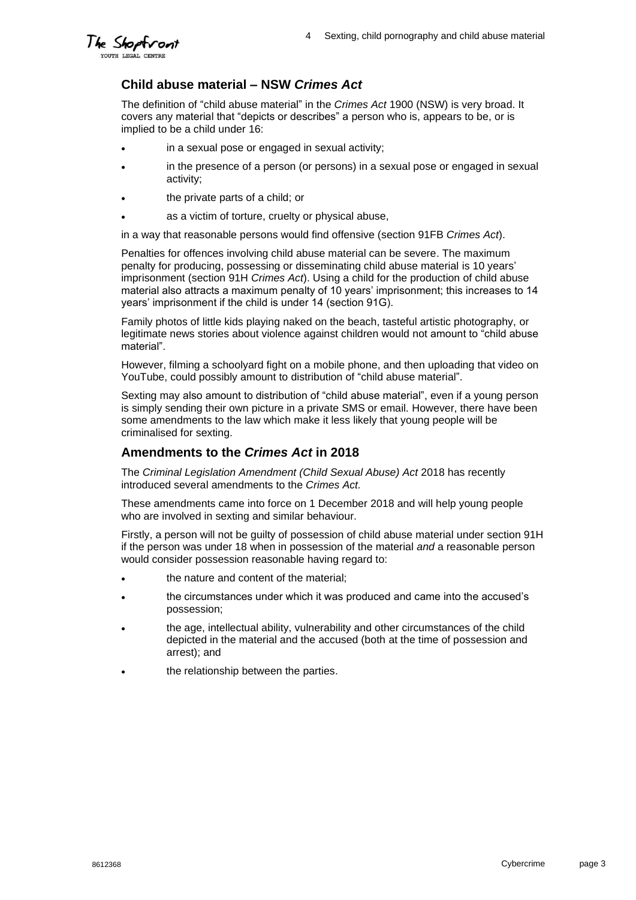

### **Child abuse material – NSW** *Crimes Act*

The definition of "child abuse material" in the *Crimes Act* 1900 (NSW) is very broad. It covers any material that "depicts or describes" a person who is, appears to be, or is implied to be a child under 16:

- in a sexual pose or engaged in sexual activity;
- in the presence of a person (or persons) in a sexual pose or engaged in sexual activity;
- the private parts of a child; or
- as a victim of torture, cruelty or physical abuse,

in a way that reasonable persons would find offensive (section 91FB *Crimes Act*).

Penalties for offences involving child abuse material can be severe. The maximum penalty for producing, possessing or disseminating child abuse material is 10 years' imprisonment (section 91H *Crimes Act*). Using a child for the production of child abuse material also attracts a maximum penalty of 10 years' imprisonment; this increases to 14 years' imprisonment if the child is under 14 (section 91G).

Family photos of little kids playing naked on the beach, tasteful artistic photography, or legitimate news stories about violence against children would not amount to "child abuse material".

However, filming a schoolyard fight on a mobile phone, and then uploading that video on YouTube, could possibly amount to distribution of "child abuse material".

Sexting may also amount to distribution of "child abuse material", even if a young person is simply sending their own picture in a private SMS or email. However, there have been some amendments to the law which make it less likely that young people will be criminalised for sexting.

### **Amendments to the** *Crimes Act* **in 2018**

The *Criminal Legislation Amendment (Child Sexual Abuse) Act* 2018 has recently introduced several amendments to the *Crimes Act.* 

These amendments came into force on 1 December 2018 and will help young people who are involved in sexting and similar behaviour.

Firstly, a person will not be guilty of possession of child abuse material under section 91H if the person was under 18 when in possession of the material *and* a reasonable person would consider possession reasonable having regard to:

- the nature and content of the material;
- the circumstances under which it was produced and came into the accused's possession;
- the age, intellectual ability, vulnerability and other circumstances of the child depicted in the material and the accused (both at the time of possession and arrest); and
- the relationship between the parties.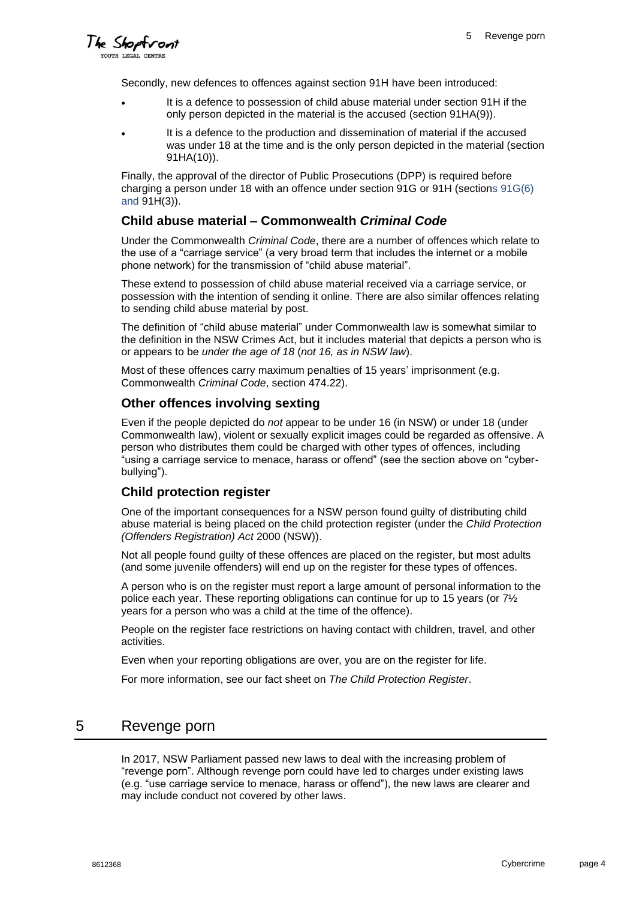The Shoptront **TOUTH LEGAL CENTR** 

Secondly, new defences to offences against section 91H have been introduced:

- It is a defence to possession of child abuse material under section 91H if the only person depicted in the material is the accused (section 91HA(9)).
- It is a defence to the production and dissemination of material if the accused was under 18 at the time and is the only person depicted in the material (section 91HA(10)).

Finally, the approval of the director of Public Prosecutions (DPP) is required before charging a person under 18 with an offence under section 91G or 91H (sections 91G(6) and 91H(3)).

### **Child abuse material – Commonwealth** *Criminal Code*

Under the Commonwealth *Criminal Code*, there are a number of offences which relate to the use of a "carriage service" (a very broad term that includes the internet or a mobile phone network) for the transmission of "child abuse material".

These extend to possession of child abuse material received via a carriage service, or possession with the intention of sending it online. There are also similar offences relating to sending child abuse material by post.

The definition of "child abuse material" under Commonwealth law is somewhat similar to the definition in the NSW Crimes Act, but it includes material that depicts a person who is or appears to be *under the age of 18* (*not 16, as in NSW law*).

Most of these offences carry maximum penalties of 15 years' imprisonment (e.g. Commonwealth *Criminal Code*, section 474.22).

### **Other offences involving sexting**

Even if the people depicted do *not* appear to be under 16 (in NSW) or under 18 (under Commonwealth law), violent or sexually explicit images could be regarded as offensive. A person who distributes them could be charged with other types of offences, including "using a carriage service to menace, harass or offend" (see the section above on "cyberbullying").

#### **Child protection register**

One of the important consequences for a NSW person found guilty of distributing child abuse material is being placed on the child protection register (under the *Child Protection (Offenders Registration) Act* 2000 (NSW)).

Not all people found guilty of these offences are placed on the register, but most adults (and some juvenile offenders) will end up on the register for these types of offences.

A person who is on the register must report a large amount of personal information to the police each year. These reporting obligations can continue for up to 15 years (or  $7\frac{1}{2}$ ) years for a person who was a child at the time of the offence).

People on the register face restrictions on having contact with children, travel, and other activities.

Even when your reporting obligations are over, you are on the register for life.

For more information, see our fact sheet on *The Child Protection Register*.

### 5 Revenge porn

In 2017, NSW Parliament passed new laws to deal with the increasing problem of "revenge porn". Although revenge porn could have led to charges under existing laws (e.g. "use carriage service to menace, harass or offend"), the new laws are clearer and may include conduct not covered by other laws.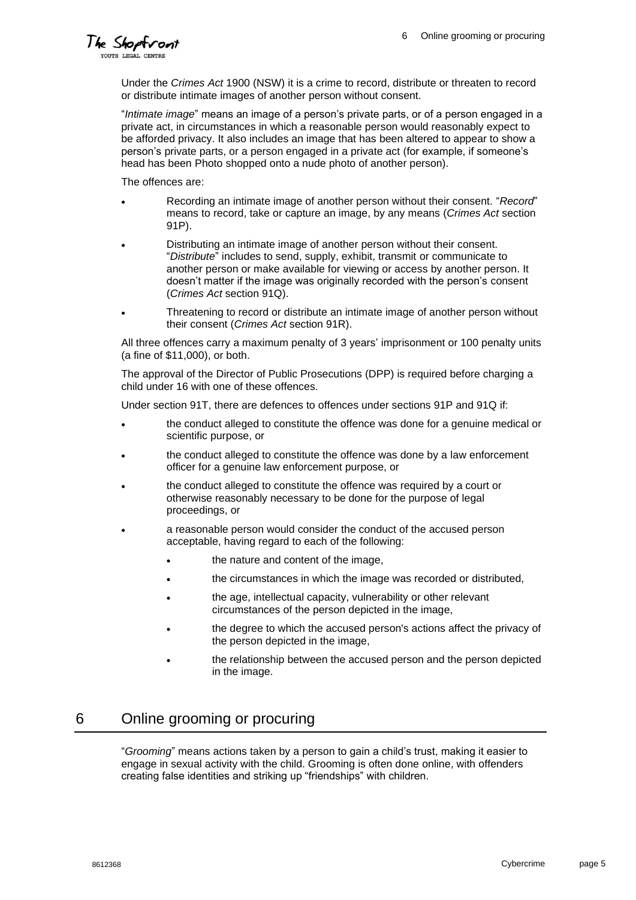The Shoptroni YOUTH LEGAL CENT

Under the *Crimes Act* 1900 (NSW) it is a crime to record, distribute or threaten to record or distribute intimate images of another person without consent.

"*Intimate image*" means an image of a person's private parts, or of a person engaged in a private act, in circumstances in which a reasonable person would reasonably expect to be afforded privacy. It also includes an image that has been altered to appear to show a person's private parts, or a person engaged in a private act (for example, if someone's head has been Photo shopped onto a nude photo of another person).

The offences are:

- Recording an intimate image of another person without their consent. "*Record*" means to record, take or capture an image, by any means (*Crimes Act* section 91P).
- Distributing an intimate image of another person without their consent. "*Distribute*" includes to send, supply, exhibit, transmit or communicate to another person or make available for viewing or access by another person. It doesn't matter if the image was originally recorded with the person's consent (*Crimes Act* section 91Q).
- Threatening to record or distribute an intimate image of another person without their consent (*Crimes Act* section 91R).

All three offences carry a maximum penalty of 3 years' imprisonment or 100 penalty units (a fine of \$11,000), or both.

The approval of the Director of Public Prosecutions (DPP) is required before charging a child under 16 with one of these offences.

Under section 91T, there are defences to offences under sections 91P and 91Q if:

- the conduct alleged to constitute the offence was done for a genuine medical or scientific purpose, or
- the conduct alleged to constitute the offence was done by a law enforcement officer for a genuine law enforcement purpose, or
- the conduct alleged to constitute the offence was required by a court or otherwise reasonably necessary to be done for the purpose of legal proceedings, or
- a reasonable person would consider the conduct of the accused person acceptable, having regard to each of the following:
	- the nature and content of the image,
	- the circumstances in which the image was recorded or distributed,
	- the age, intellectual capacity, vulnerability or other relevant circumstances of the person depicted in the image,
	- the degree to which the accused person's actions affect the privacy of the person depicted in the image,
	- the relationship between the accused person and the person depicted in the image.

### 6 Online grooming or procuring

"*Grooming*" means actions taken by a person to gain a child's trust, making it easier to engage in sexual activity with the child. Grooming is often done online, with offenders creating false identities and striking up "friendships" with children.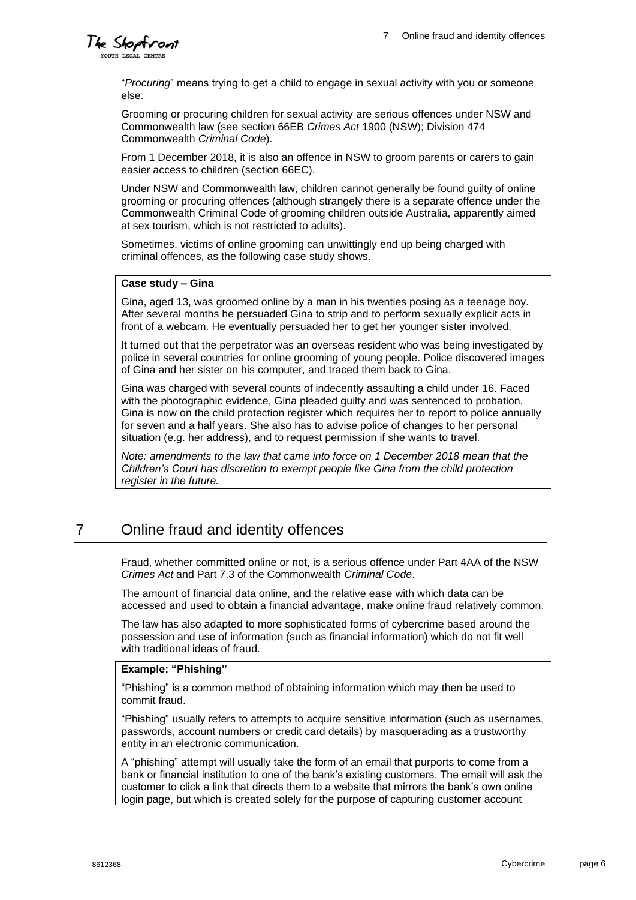

"*Procuring*" means trying to get a child to engage in sexual activity with you or someone else.

Grooming or procuring children for sexual activity are serious offences under NSW and Commonwealth law (see section 66EB *Crimes Act* 1900 (NSW); Division 474 Commonwealth *Criminal Code*).

From 1 December 2018, it is also an offence in NSW to groom parents or carers to gain easier access to children (section 66EC).

Under NSW and Commonwealth law, children cannot generally be found guilty of online grooming or procuring offences (although strangely there is a separate offence under the Commonwealth Criminal Code of grooming children outside Australia, apparently aimed at sex tourism, which is not restricted to adults).

Sometimes, victims of online grooming can unwittingly end up being charged with criminal offences, as the following case study shows.

#### **Case study – Gina**

Gina, aged 13, was groomed online by a man in his twenties posing as a teenage boy. After several months he persuaded Gina to strip and to perform sexually explicit acts in front of a webcam. He eventually persuaded her to get her younger sister involved.

It turned out that the perpetrator was an overseas resident who was being investigated by police in several countries for online grooming of young people. Police discovered images of Gina and her sister on his computer, and traced them back to Gina.

Gina was charged with several counts of indecently assaulting a child under 16. Faced with the photographic evidence, Gina pleaded guilty and was sentenced to probation. Gina is now on the child protection register which requires her to report to police annually for seven and a half years. She also has to advise police of changes to her personal situation (e.g. her address), and to request permission if she wants to travel.

*Note: amendments to the law that came into force on 1 December 2018 mean that the Children's Court has discretion to exempt people like Gina from the child protection register in the future.*

# 7 Online fraud and identity offences

Fraud, whether committed online or not, is a serious offence under Part 4AA of the NSW *Crimes Act* and Part 7.3 of the Commonwealth *Criminal Code*.

The amount of financial data online, and the relative ease with which data can be accessed and used to obtain a financial advantage, make online fraud relatively common.

The law has also adapted to more sophisticated forms of cybercrime based around the possession and use of information (such as financial information) which do not fit well with traditional ideas of fraud.

#### **Example: "Phishing"**

"Phishing" is a common method of obtaining information which may then be used to commit fraud.

"Phishing" usually refers to attempts to acquire sensitive information (such as usernames, passwords, account numbers or credit card details) by masquerading as a trustworthy entity in an electronic communication.

A "phishing" attempt will usually take the form of an email that purports to come from a bank or financial institution to one of the bank's existing customers. The email will ask the customer to click a link that directs them to a website that mirrors the bank's own online login page, but which is created solely for the purpose of capturing customer account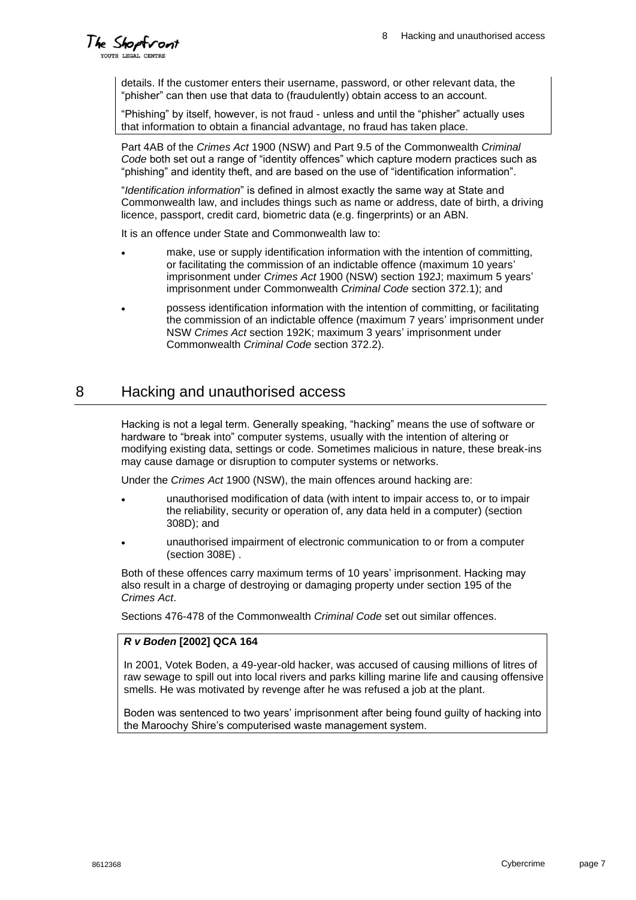# The Shoptron

details. If the customer enters their username, password, or other relevant data, the "phisher" can then use that data to (fraudulently) obtain access to an account.

"Phishing" by itself, however, is not fraud - unless and until the "phisher" actually uses that information to obtain a financial advantage, no fraud has taken place.

Part 4AB of the *Crimes Act* 1900 (NSW) and Part 9.5 of the Commonwealth *Criminal Code* both set out a range of "identity offences" which capture modern practices such as "phishing" and identity theft, and are based on the use of "identification information".

"*Identification information*" is defined in almost exactly the same way at State and Commonwealth law, and includes things such as name or address, date of birth, a driving licence, passport, credit card, biometric data (e.g. fingerprints) or an ABN.

It is an offence under State and Commonwealth law to:

- make, use or supply identification information with the intention of committing. or facilitating the commission of an indictable offence (maximum 10 years' imprisonment under *Crimes Act* 1900 (NSW) section 192J; maximum 5 years' imprisonment under Commonwealth *Criminal Code* section 372.1); and
- possess identification information with the intention of committing, or facilitating the commission of an indictable offence (maximum 7 years' imprisonment under NSW *Crimes Act* section 192K; maximum 3 years' imprisonment under Commonwealth *Criminal Code* section 372.2).

### 8 Hacking and unauthorised access

Hacking is not a legal term. Generally speaking, "hacking" means the use of software or hardware to "break into" computer systems, usually with the intention of altering or modifying existing data, settings or code. Sometimes malicious in nature, these break-ins may cause damage or disruption to computer systems or networks.

Under the *Crimes Act* 1900 (NSW), the main offences around hacking are:

- unauthorised modification of data (with intent to impair access to, or to impair the reliability, security or operation of, any data held in a computer) (section 308D); and
- unauthorised impairment of electronic communication to or from a computer (section 308E) .

Both of these offences carry maximum terms of 10 years' imprisonment. Hacking may also result in a charge of destroying or damaging property under section 195 of the *Crimes Act*.

Sections 476-478 of the Commonwealth *Criminal Code* set out similar offences.

### *R v Boden* **[2002] QCA 164**

In 2001, Votek Boden, a 49-year-old hacker, was accused of causing millions of litres of raw sewage to spill out into local rivers and parks killing marine life and causing offensive smells. He was motivated by revenge after he was refused a job at the plant.

Boden was sentenced to two years' imprisonment after being found guilty of hacking into the Maroochy Shire's computerised waste management system.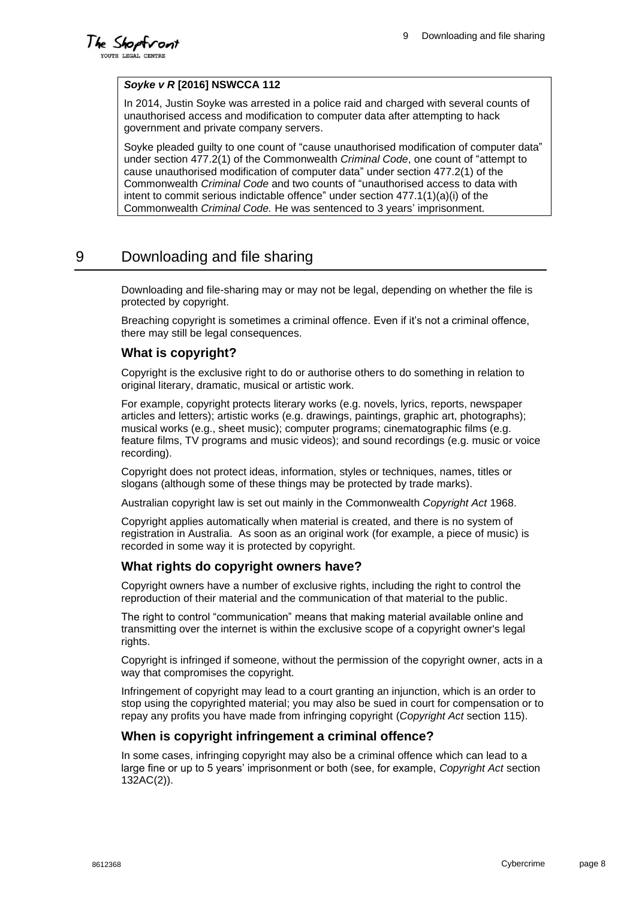The Shoptront YOUTH LEGAL CENTR

#### *Soyke v R* **[2016] NSWCCA 112**

In 2014, Justin Soyke was arrested in a police raid and charged with several counts of unauthorised access and modification to computer data after attempting to hack government and private company servers.

Soyke pleaded guilty to one count of "cause unauthorised modification of computer data" under section 477.2(1) of the Commonwealth *Criminal Code*, one count of "attempt to cause unauthorised modification of computer data" under section 477.2(1) of the Commonwealth *Criminal Code* and two counts of "unauthorised access to data with intent to commit serious indictable offence" under section 477.1(1)(a)(i) of the Commonwealth *Criminal Code.* He was sentenced to 3 years' imprisonment.

### 9 Downloading and file sharing

Downloading and file-sharing may or may not be legal, depending on whether the file is protected by copyright.

Breaching copyright is sometimes a criminal offence. Even if it's not a criminal offence, there may still be legal consequences.

### **What is copyright?**

Copyright is the exclusive right to do or authorise others to do something in relation to original literary, dramatic, musical or artistic work.

For example, copyright protects literary works (e.g. novels, lyrics, reports, newspaper articles and letters); artistic works (e.g. drawings, paintings, graphic art, photographs); musical works (e.g., sheet music); computer programs; cinematographic films (e.g. feature films, TV programs and music videos); and sound recordings (e.g. music or voice recording).

Copyright does not protect ideas, information, styles or techniques, names, titles or slogans (although some of these things may be protected by trade marks).

Australian copyright law is set out mainly in the Commonwealth *Copyright Act* 1968.

Copyright applies automatically when material is created, and there is no system of registration in Australia. As soon as an original work (for example, a piece of music) is recorded in some way it is protected by copyright.

### **What rights do copyright owners have?**

Copyright owners have a number of exclusive rights, including the right to control the reproduction of their material and the communication of that material to the public.

The right to control "communication" means that making material available online and transmitting over the internet is within the exclusive scope of a copyright owner's legal rights.

Copyright is infringed if someone, without the permission of the copyright owner, acts in a way that compromises the copyright.

Infringement of copyright may lead to a court granting an injunction, which is an order to stop using the copyrighted material; you may also be sued in court for compensation or to repay any profits you have made from infringing copyright (*Copyright Act* section 115).

### **When is copyright infringement a criminal offence?**

In some cases, infringing copyright may also be a criminal offence which can lead to a large fine or up to 5 years' imprisonment or both (see, for example, *Copyright Act* section 132AC(2)).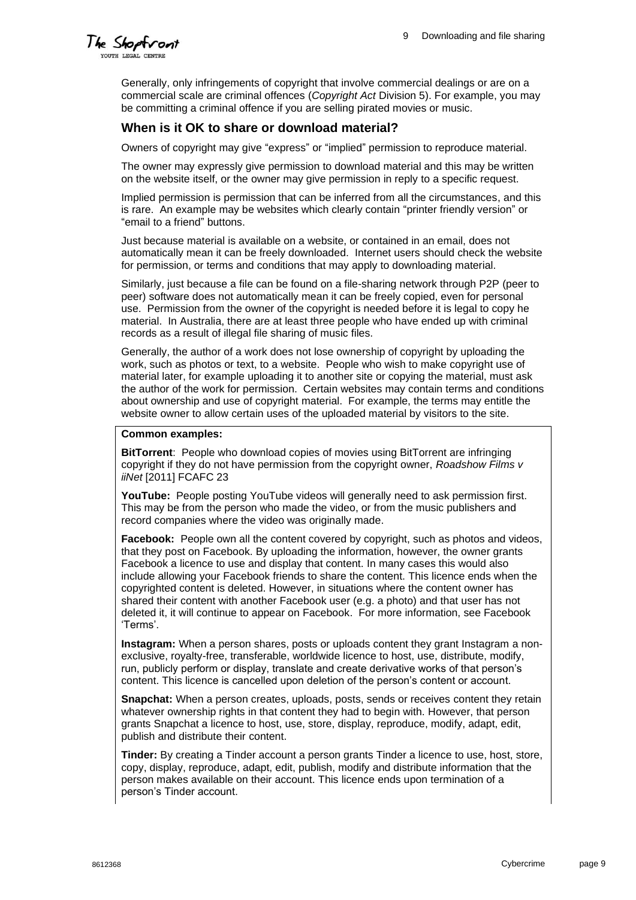

Generally, only infringements of copyright that involve commercial dealings or are on a commercial scale are criminal offences (*Copyright Act* Division 5). For example, you may be committing a criminal offence if you are selling pirated movies or music.

### **When is it OK to share or download material?**

Owners of copyright may give "express" or "implied" permission to reproduce material.

The owner may expressly give permission to download material and this may be written on the website itself, or the owner may give permission in reply to a specific request.

Implied permission is permission that can be inferred from all the circumstances, and this is rare. An example may be websites which clearly contain "printer friendly version" or "email to a friend" buttons.

Just because material is available on a website, or contained in an email, does not automatically mean it can be freely downloaded. Internet users should check the website for permission, or terms and conditions that may apply to downloading material.

Similarly, just because a file can be found on a file-sharing network through P2P (peer to peer) software does not automatically mean it can be freely copied, even for personal use. Permission from the owner of the copyright is needed before it is legal to copy he material. In Australia, there are at least three people who have ended up with criminal records as a result of illegal file sharing of music files.

Generally, the author of a work does not lose ownership of copyright by uploading the work, such as photos or text, to a website. People who wish to make copyright use of material later, for example uploading it to another site or copying the material, must ask the author of the work for permission. Certain websites may contain terms and conditions about ownership and use of copyright material. For example, the terms may entitle the website owner to allow certain uses of the uploaded material by visitors to the site.

#### **Common examples:**

**BitTorrent**: People who download copies of movies using BitTorrent are infringing copyright if they do not have permission from the copyright owner, *Roadshow Films v iiNet* [2011] FCAFC 23

**YouTube:** People posting YouTube videos will generally need to ask permission first. This may be from the person who made the video, or from the music publishers and record companies where the video was originally made.

**Facebook:** People own all the content covered by copyright, such as photos and videos, that they post on Facebook. By uploading the information, however, the owner grants Facebook a licence to use and display that content. In many cases this would also include allowing your Facebook friends to share the content. This licence ends when the copyrighted content is deleted. However, in situations where the content owner has shared their content with another Facebook user (e.g. a photo) and that user has not deleted it, it will continue to appear on Facebook. For more information, see Facebook 'Terms'.

**Instagram:** When a person shares, posts or uploads content they grant Instagram a nonexclusive, royalty-free, transferable, worldwide licence to host, use, distribute, modify, run, publicly perform or display, translate and create derivative works of that person's content. This licence is cancelled upon deletion of the person's content or account.

**Snapchat:** When a person creates, uploads, posts, sends or receives content they retain whatever ownership rights in that content they had to begin with. However, that person grants Snapchat a licence to host, use, store, display, reproduce, modify, adapt, edit, publish and distribute their content.

**Tinder:** By creating a Tinder account a person grants Tinder a licence to use, host, store, copy, display, reproduce, adapt, edit, publish, modify and distribute information that the person makes available on their account. This licence ends upon termination of a person's Tinder account.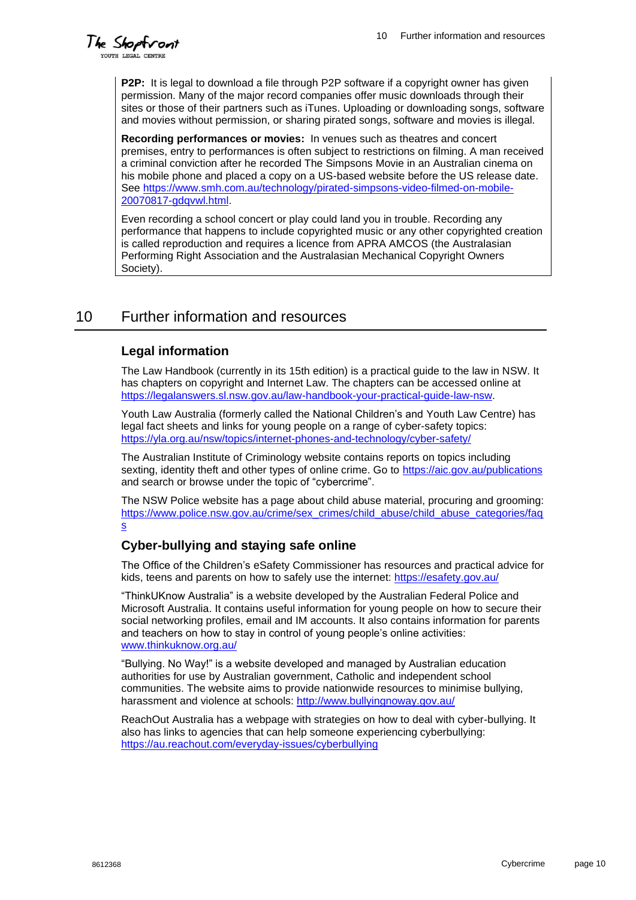The Shoptront YOUTH LEGAL CENT

**P2P:** It is legal to download a file through P2P software if a copyright owner has given permission. Many of the major record companies offer music downloads through their sites or those of their partners such as iTunes. Uploading or downloading songs, software and movies without permission, or sharing pirated songs, software and movies is illegal.

**Recording performances or movies:** In venues such as theatres and concert premises, entry to performances is often subject to restrictions on filming. A man received a criminal conviction after he recorded The Simpsons Movie in an Australian cinema on his mobile phone and placed a copy on a US-based website before the US release date. See [https://www.smh.com.au/technology/pirated-simpsons-video-filmed-on-mobile-](https://www.smh.com.au/technology/pirated-simpsons-video-filmed-on-mobile-20070817-gdqvwl.html)[20070817-gdqvwl.html.](https://www.smh.com.au/technology/pirated-simpsons-video-filmed-on-mobile-20070817-gdqvwl.html)

Even recording a school concert or play could land you in trouble. Recording any performance that happens to include copyrighted music or any other copyrighted creation is called reproduction and requires a licence from APRA AMCOS (the Australasian Performing Right Association and the Australasian Mechanical Copyright Owners Society).

# 10 Further information and resources

### **Legal information**

The Law Handbook (currently in its 15th edition) is a practical guide to the law in NSW. It has chapters on copyright and Internet Law. The chapters can be accessed online at [https://legalanswers.sl.nsw.gov.au/law-handbook-your-practical-guide-law-nsw.](https://legalanswers.sl.nsw.gov.au/law-handbook-your-practical-guide-law-nsw)

Youth Law Australia (formerly called the National Children's and Youth Law Centre) has legal fact sheets and links for young people on a range of cyber-safety topics: <https://yla.org.au/nsw/topics/internet-phones-and-technology/cyber-safety/>

The Australian Institute of Criminology website contains reports on topics including sexting, identity theft and other types of online crime. Go to<https://aic.gov.au/publications> and search or browse under the topic of "cybercrime".

The NSW Police website has a page about child abuse material, procuring and grooming: [https://www.police.nsw.gov.au/crime/sex\\_crimes/child\\_abuse/child\\_abuse\\_categories/faq](https://www.police.nsw.gov.au/crime/sex_crimes/child_abuse/child_abuse_categories/faqs) [s](https://www.police.nsw.gov.au/crime/sex_crimes/child_abuse/child_abuse_categories/faqs)

### **Cyber-bullying and staying safe online**

The Office of the Children's eSafety Commissioner has resources and practical advice for kids, [teens](http://www.cybersmart.gov.au/Teens.aspx) and [parents](http://www.cybersmart.gov.au/Parents.aspx) on how to safely use the internet:<https://esafety.gov.au/>

"ThinkUKnow Australia" is a website developed by the Australian Federal Police and Microsoft Australia. It contains useful information for young people on how to secure their social networking profiles, email and IM accounts. It also contains information for parents and teachers on how to stay in control of young people's online activities: [www.thinkuknow.org.au/](http://www.thinkuknow.org.au/)

"Bullying. No Way!" is a website developed and managed by Australian education authorities for use by Australian government, Catholic and independent school communities. The website aims to provide nationwide resources to minimise bullying, harassment and violence at schools:<http://www.bullyingnoway.gov.au/>

ReachOut Australia has a webpage with strategies on how to deal with cyber-bullying. It also has links to agencies that can help someone experiencing cyberbullying: <https://au.reachout.com/everyday-issues/cyberbullying>